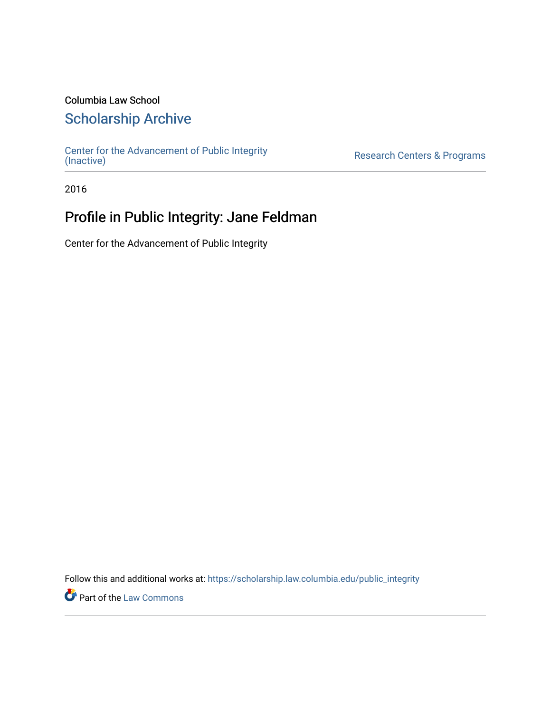### Columbia Law School

### [Scholarship Archive](https://scholarship.law.columbia.edu/)

[Center for the Advancement of Public Integrity](https://scholarship.law.columbia.edu/public_integrity)<br>(Inactive)

Research Centers & Programs

2016

## Profile in Public Integrity: Jane Feldman

Center for the Advancement of Public Integrity

Follow this and additional works at: [https://scholarship.law.columbia.edu/public\\_integrity](https://scholarship.law.columbia.edu/public_integrity?utm_source=scholarship.law.columbia.edu%2Fpublic_integrity%2F93&utm_medium=PDF&utm_campaign=PDFCoverPages)

**Part of the [Law Commons](http://network.bepress.com/hgg/discipline/578?utm_source=scholarship.law.columbia.edu%2Fpublic_integrity%2F93&utm_medium=PDF&utm_campaign=PDFCoverPages)**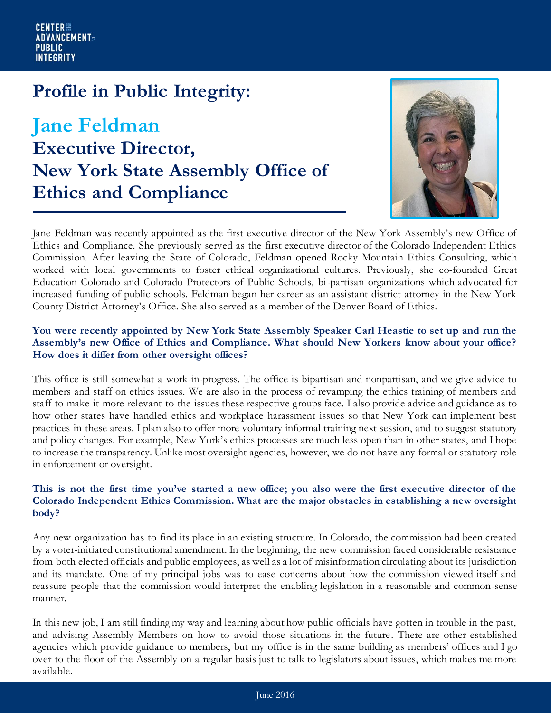## **Profile in Public Integrity:**

# **Jane Feldman Executive Director, New York State Assembly Office of Ethics and Compliance**



Jane Feldman was recently appointed as the first executive director of the New York Assembly's new Office of Ethics and Compliance. She previously served as the first executive director of the Colorado Independent Ethics Commission. After leaving the State of Colorado, Feldman opened Rocky Mountain Ethics Consulting, which worked with local governments to foster ethical organizational cultures. Previously, she co-founded Great Education Colorado and Colorado Protectors of Public Schools, bi-partisan organizations which advocated for increased funding of public schools. Feldman began her career as an assistant district attorney in the New York County District Attorney's Office. She also served as a member of the Denver Board of Ethics.

#### **You were recently appointed by New York State Assembly Speaker Carl Heastie to set up and run the Assembly's new Office of Ethics and Compliance. What should New Yorkers know about your office? How does it differ from other oversight offices?**

This office is still somewhat a work-in-progress. The office is bipartisan and nonpartisan, and we give advice to members and staff on ethics issues. We are also in the process of revamping the ethics training of members and staff to make it more relevant to the issues these respective groups face. I also provide advice and guidance as to how other states have handled ethics and workplace harassment issues so that New York can implement best practices in these areas. I plan also to offer more voluntary informal training next session, and to suggest statutory and policy changes. For example, New York's ethics processes are much less open than in other states, and I hope to increase the transparency. Unlike most oversight agencies, however, we do not have any formal or statutory role in enforcement or oversight.

#### **This is not the first time you've started a new office; you also were the first executive director of the Colorado Independent Ethics Commission. What are the major obstacles in establishing a new oversight body?**

Any new organization has to find its place in an existing structure. In Colorado, the commission had been created by a voter-initiated constitutional amendment. In the beginning, the new commission faced considerable resistance from both elected officials and public employees, as well as a lot of misinformation circulating about its jurisdiction and its mandate. One of my principal jobs was to ease concerns about how the commission viewed itself and reassure people that the commission would interpret the enabling legislation in a reasonable and common-sense manner.

In this new job, I am still finding my way and learning about how public officials have gotten in trouble in the past, and advising Assembly Members on how to avoid those situations in the future. There are other established agencies which provide guidance to members, but my office is in the same building as members' offices and I go over to the floor of the Assembly on a regular basis just to talk to legislators about issues, which makes me more available.